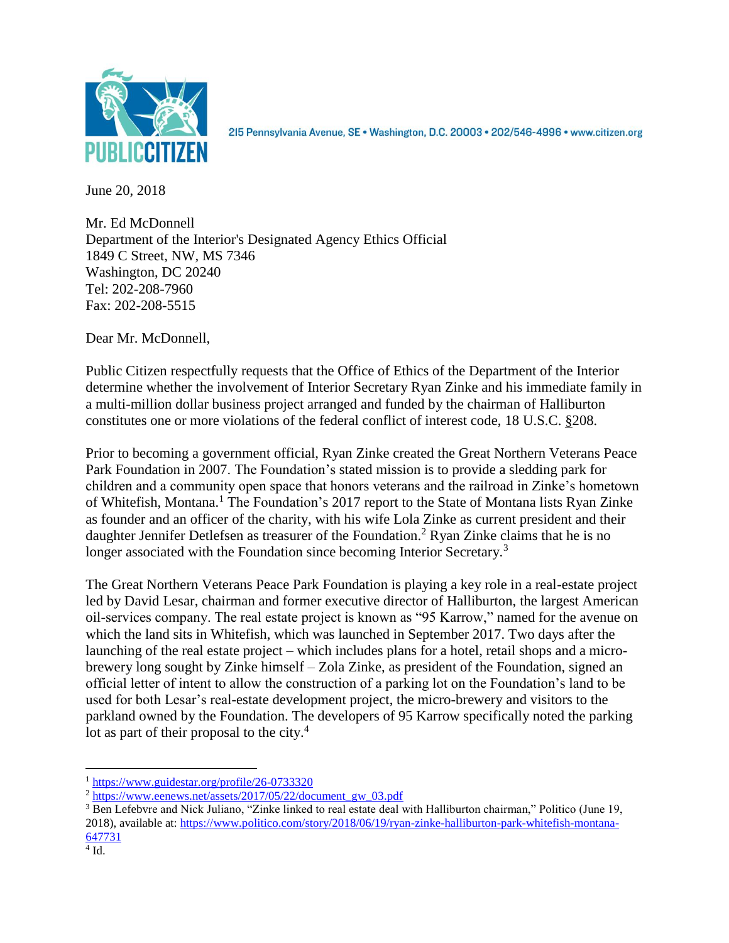

2I5 Pennsylvania Avenue, SE · Washington, D.C. 20003 · 202/546-4996 · www.citizen.org

June 20, 2018

Mr. Ed McDonnell Department of the Interior's Designated Agency Ethics Official 1849 C Street, NW, MS 7346 Washington, DC 20240 Tel: 202-208-7960 Fax: 202-208-5515

Dear Mr. McDonnell,

Public Citizen respectfully requests that the Office of Ethics of the Department of the Interior determine whether the involvement of Interior Secretary Ryan Zinke and his immediate family in a multi-million dollar business project arranged and funded by the chairman of Halliburton constitutes one or more violations of the federal conflict of interest code, 18 U.S.C. §208.

Prior to becoming a government official, Ryan Zinke created the Great Northern Veterans Peace Park Foundation in 2007. The Foundation's stated mission is to provide a sledding park for children and a community open space that honors veterans and the railroad in Zinke's hometown of Whitefish, Montana.<sup>1</sup> The Foundation's 2017 report to the State of Montana lists Ryan Zinke as founder and an officer of the charity, with his wife Lola Zinke as current president and their daughter Jennifer Detlefsen as treasurer of the Foundation.<sup>2</sup> Ryan Zinke claims that he is no longer associated with the Foundation since becoming Interior Secretary.<sup>3</sup>

The Great Northern Veterans Peace Park Foundation is playing a key role in a real-estate project led by David Lesar, chairman and former executive director of Halliburton, the largest American oil-services company. The real estate project is known as "95 Karrow," named for the avenue on which the land sits in Whitefish, which was launched in September 2017. Two days after the launching of the real estate project – which includes plans for a hotel, retail shops and a microbrewery long sought by Zinke himself – Zola Zinke, as president of the Foundation, signed an official letter of intent to allow the construction of a parking lot on the Foundation's land to be used for both Lesar's real-estate development project, the micro-brewery and visitors to the parkland owned by the Foundation. The developers of 95 Karrow specifically noted the parking lot as part of their proposal to the city.<sup>4</sup>

 $\overline{a}$ 

<sup>1</sup> <https://www.guidestar.org/profile/26-0733320>

 $2 \frac{\text{https://www.eenews.net/assets/2017/05/22/document}$  gw\_03.pdf

<sup>&</sup>lt;sup>3</sup> Ben Lefebvre and Nick Juliano, "Zinke linked to real estate deal with Halliburton chairman," Politico (June 19, 2018), available at: [https://www.politico.com/story/2018/06/19/ryan-zinke-halliburton-park-whitefish-montana-](https://www.politico.com/story/2018/06/19/ryan-zinke-halliburton-park-whitefish-montana-647731)[647731](https://www.politico.com/story/2018/06/19/ryan-zinke-halliburton-park-whitefish-montana-647731)